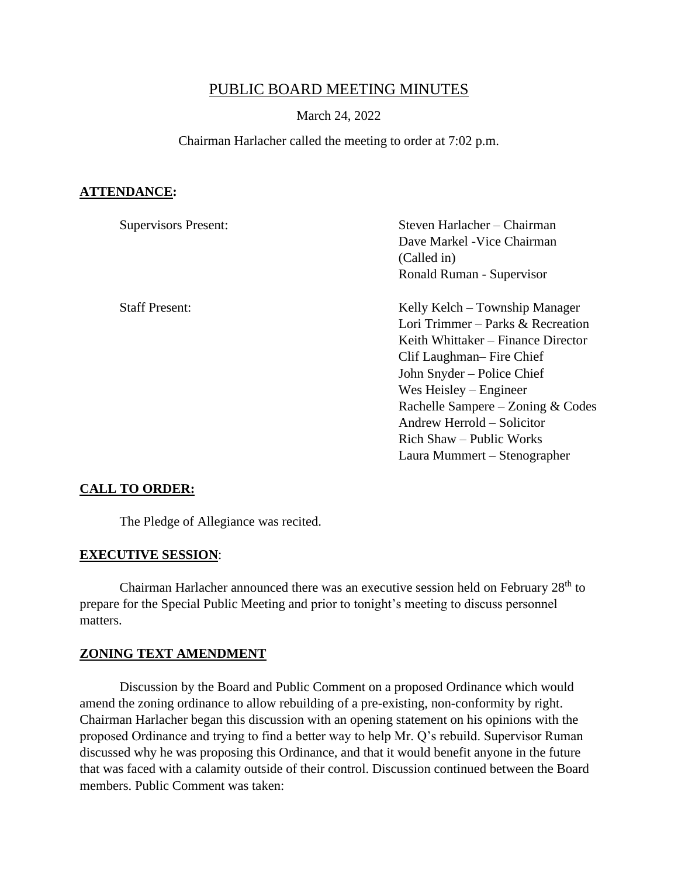# PUBLIC BOARD MEETING MINUTES

### March 24, 2022

#### Chairman Harlacher called the meeting to order at 7:02 p.m.

### **ATTENDANCE:**

| <b>Supervisors Present:</b> | Steven Harlacher – Chairman        |  |
|-----------------------------|------------------------------------|--|
|                             | Dave Markel - Vice Chairman        |  |
|                             | (Called in)                        |  |
|                             | Ronald Ruman - Supervisor          |  |
| <b>Staff Present:</b>       | Kelly Kelch – Township Manager     |  |
|                             | Lori Trimmer – Parks & Recreation  |  |
|                             | Keith Whittaker – Finance Director |  |
|                             | Clif Laughman– Fire Chief          |  |
|                             | John Snyder – Police Chief         |  |
|                             | Wes Heisley $-$ Engineer           |  |
|                             | Rachelle Sampere – Zoning & Codes  |  |
|                             | Andrew Herrold – Solicitor         |  |
|                             | Rich Shaw – Public Works           |  |
|                             | Laura Mummert – Stenographer       |  |

### **CALL TO ORDER:**

The Pledge of Allegiance was recited.

#### **EXECUTIVE SESSION**:

Chairman Harlacher announced there was an executive session held on February 28<sup>th</sup> to prepare for the Special Public Meeting and prior to tonight's meeting to discuss personnel matters.

# **ZONING TEXT AMENDMENT**

Discussion by the Board and Public Comment on a proposed Ordinance which would amend the zoning ordinance to allow rebuilding of a pre-existing, non-conformity by right. Chairman Harlacher began this discussion with an opening statement on his opinions with the proposed Ordinance and trying to find a better way to help Mr. Q's rebuild. Supervisor Ruman discussed why he was proposing this Ordinance, and that it would benefit anyone in the future that was faced with a calamity outside of their control. Discussion continued between the Board members. Public Comment was taken: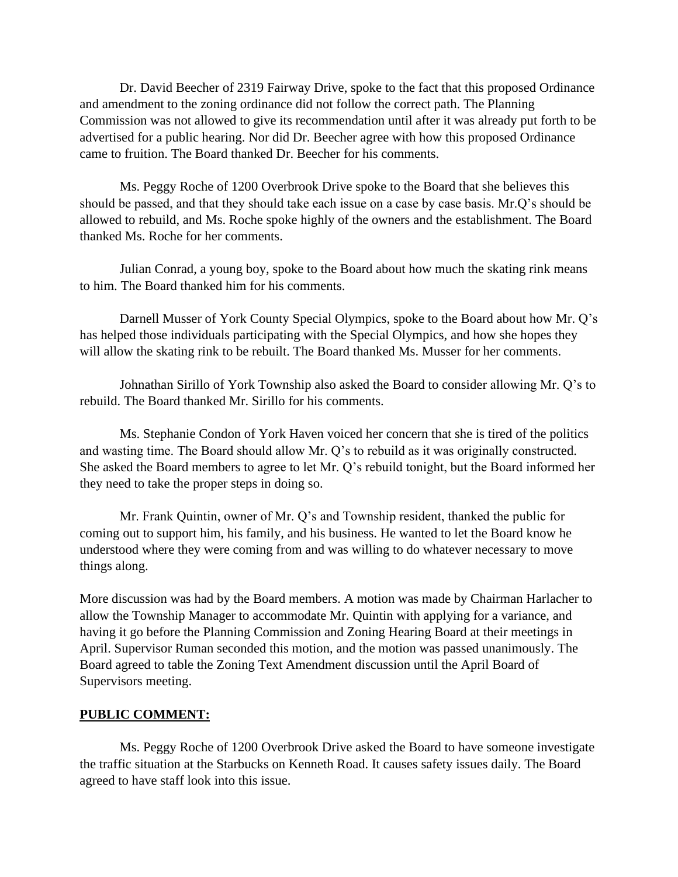Dr. David Beecher of 2319 Fairway Drive, spoke to the fact that this proposed Ordinance and amendment to the zoning ordinance did not follow the correct path. The Planning Commission was not allowed to give its recommendation until after it was already put forth to be advertised for a public hearing. Nor did Dr. Beecher agree with how this proposed Ordinance came to fruition. The Board thanked Dr. Beecher for his comments.

Ms. Peggy Roche of 1200 Overbrook Drive spoke to the Board that she believes this should be passed, and that they should take each issue on a case by case basis. Mr.Q's should be allowed to rebuild, and Ms. Roche spoke highly of the owners and the establishment. The Board thanked Ms. Roche for her comments.

Julian Conrad, a young boy, spoke to the Board about how much the skating rink means to him. The Board thanked him for his comments.

Darnell Musser of York County Special Olympics, spoke to the Board about how Mr. Q's has helped those individuals participating with the Special Olympics, and how she hopes they will allow the skating rink to be rebuilt. The Board thanked Ms. Musser for her comments.

Johnathan Sirillo of York Township also asked the Board to consider allowing Mr. Q's to rebuild. The Board thanked Mr. Sirillo for his comments.

Ms. Stephanie Condon of York Haven voiced her concern that she is tired of the politics and wasting time. The Board should allow Mr. Q's to rebuild as it was originally constructed. She asked the Board members to agree to let Mr. Q's rebuild tonight, but the Board informed her they need to take the proper steps in doing so.

Mr. Frank Quintin, owner of Mr. Q's and Township resident, thanked the public for coming out to support him, his family, and his business. He wanted to let the Board know he understood where they were coming from and was willing to do whatever necessary to move things along.

More discussion was had by the Board members. A motion was made by Chairman Harlacher to allow the Township Manager to accommodate Mr. Quintin with applying for a variance, and having it go before the Planning Commission and Zoning Hearing Board at their meetings in April. Supervisor Ruman seconded this motion, and the motion was passed unanimously. The Board agreed to table the Zoning Text Amendment discussion until the April Board of Supervisors meeting.

### **PUBLIC COMMENT:**

Ms. Peggy Roche of 1200 Overbrook Drive asked the Board to have someone investigate the traffic situation at the Starbucks on Kenneth Road. It causes safety issues daily. The Board agreed to have staff look into this issue.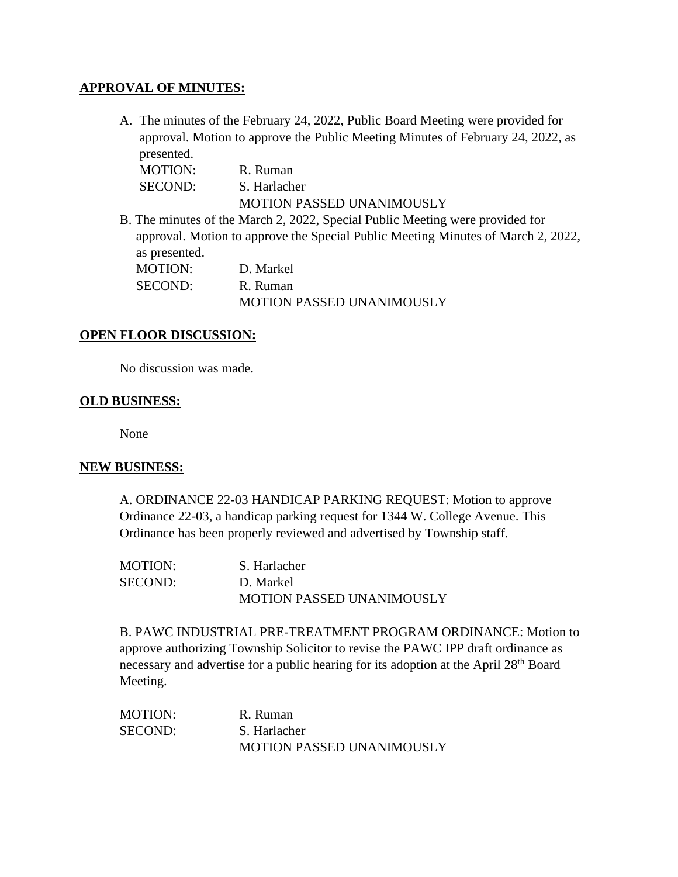## **APPROVAL OF MINUTES:**

A. The minutes of the February 24, 2022, Public Board Meeting were provided for approval. Motion to approve the Public Meeting Minutes of February 24, 2022, as presented.

| MOTION: | R. Ruman                  |
|---------|---------------------------|
| SECOND: | S. Harlacher              |
|         | MOTION PASSED UNANIMOUSLY |

B. The minutes of the March 2, 2022, Special Public Meeting were provided for approval. Motion to approve the Special Public Meeting Minutes of March 2, 2022, as presented. MOTION: D. Markel SECOND: R. Ruman MOTION PASSED UNANIMOUSLY

### **OPEN FLOOR DISCUSSION:**

No discussion was made.

#### **OLD BUSINESS:**

None

### **NEW BUSINESS:**

A. ORDINANCE 22-03 HANDICAP PARKING REQUEST: Motion to approve Ordinance 22-03, a handicap parking request for 1344 W. College Avenue. This Ordinance has been properly reviewed and advertised by Township staff.

| <b>MOTION:</b> | S. Harlacher                     |
|----------------|----------------------------------|
| SECOND:        | D. Markel                        |
|                | <b>MOTION PASSED UNANIMOUSLY</b> |

B. PAWC INDUSTRIAL PRE-TREATMENT PROGRAM ORDINANCE: Motion to approve authorizing Township Solicitor to revise the PAWC IPP draft ordinance as necessary and advertise for a public hearing for its adoption at the April 28<sup>th</sup> Board Meeting.

MOTION: R. Ruman SECOND: S. Harlacher MOTION PASSED UNANIMOUSLY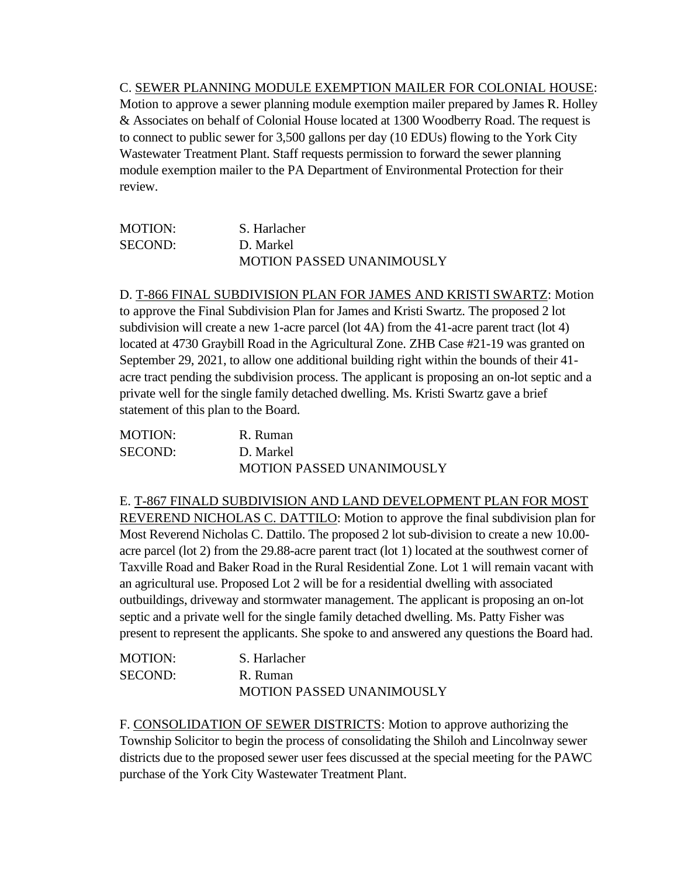C. SEWER PLANNING MODULE EXEMPTION MAILER FOR COLONIAL HOUSE: Motion to approve a sewer planning module exemption mailer prepared by James R. Holley & Associates on behalf of Colonial House located at 1300 Woodberry Road. The request is to connect to public sewer for 3,500 gallons per day (10 EDUs) flowing to the York City Wastewater Treatment Plant. Staff requests permission to forward the sewer planning module exemption mailer to the PA Department of Environmental Protection for their review.

| <b>MOTION:</b> | S. Harlacher              |
|----------------|---------------------------|
| <b>SECOND:</b> | D. Markel                 |
|                | MOTION PASSED UNANIMOUSLY |

D. T-866 FINAL SUBDIVISION PLAN FOR JAMES AND KRISTI SWARTZ: Motion to approve the Final Subdivision Plan for James and Kristi Swartz. The proposed 2 lot subdivision will create a new 1-acre parcel (lot 4A) from the 41-acre parent tract (lot 4) located at 4730 Graybill Road in the Agricultural Zone. ZHB Case #21-19 was granted on September 29, 2021, to allow one additional building right within the bounds of their 41 acre tract pending the subdivision process. The applicant is proposing an on-lot septic and a private well for the single family detached dwelling. Ms. Kristi Swartz gave a brief statement of this plan to the Board.

| <b>MOTION:</b> | R. Ruman                         |
|----------------|----------------------------------|
| SECOND:        | D. Markel                        |
|                | <b>MOTION PASSED UNANIMOUSLY</b> |

E. T-867 FINALD SUBDIVISION AND LAND DEVELOPMENT PLAN FOR MOST REVEREND NICHOLAS C. DATTILO: Motion to approve the final subdivision plan for Most Reverend Nicholas C. Dattilo. The proposed 2 lot sub-division to create a new 10.00 acre parcel (lot 2) from the 29.88-acre parent tract (lot 1) located at the southwest corner of Taxville Road and Baker Road in the Rural Residential Zone. Lot 1 will remain vacant with an agricultural use. Proposed Lot 2 will be for a residential dwelling with associated outbuildings, driveway and stormwater management. The applicant is proposing an on-lot septic and a private well for the single family detached dwelling. Ms. Patty Fisher was present to represent the applicants. She spoke to and answered any questions the Board had.

| <b>MOTION:</b> | S. Harlacher              |
|----------------|---------------------------|
| SECOND:        | R. Ruman                  |
|                | MOTION PASSED UNANIMOUSLY |

F. CONSOLIDATION OF SEWER DISTRICTS: Motion to approve authorizing the Township Solicitor to begin the process of consolidating the Shiloh and Lincolnway sewer districts due to the proposed sewer user fees discussed at the special meeting for the PAWC purchase of the York City Wastewater Treatment Plant.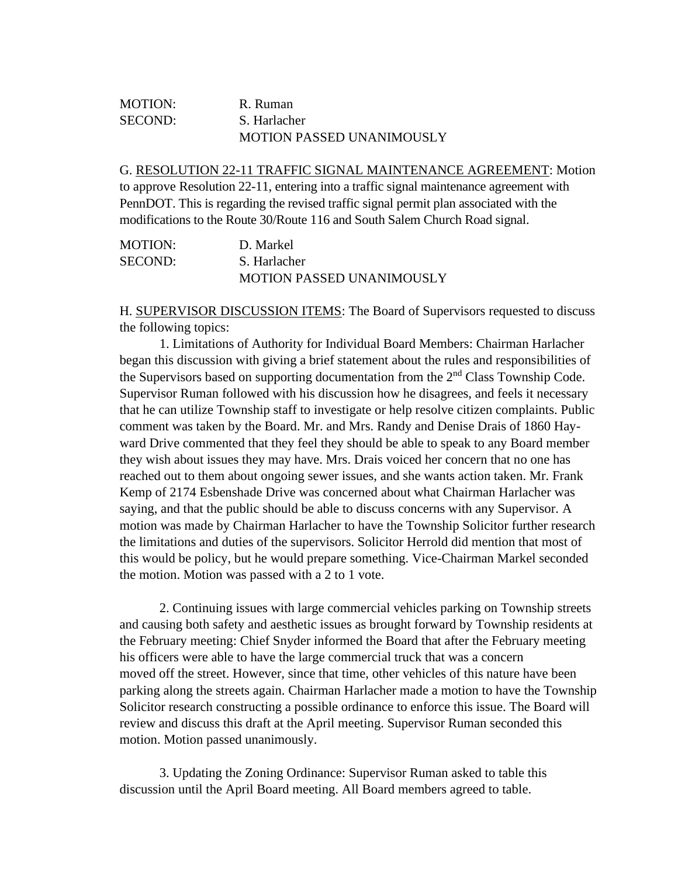## MOTION: R. Ruman SECOND: S. Harlacher MOTION PASSED UNANIMOUSLY

G. RESOLUTION 22-11 TRAFFIC SIGNAL MAINTENANCE AGREEMENT: Motion to approve Resolution 22-11, entering into a traffic signal maintenance agreement with PennDOT. This is regarding the revised traffic signal permit plan associated with the modifications to the Route 30/Route 116 and South Salem Church Road signal.

| <b>MOTION:</b> | D. Markel                        |
|----------------|----------------------------------|
| <b>SECOND:</b> | S. Harlacher                     |
|                | <b>MOTION PASSED UNANIMOUSLY</b> |

H. SUPERVISOR DISCUSSION ITEMS: The Board of Supervisors requested to discuss the following topics:

1. Limitations of Authority for Individual Board Members: Chairman Harlacher began this discussion with giving a brief statement about the rules and responsibilities of the Supervisors based on supporting documentation from the 2<sup>nd</sup> Class Township Code. Supervisor Ruman followed with his discussion how he disagrees, and feels it necessary that he can utilize Township staff to investigate or help resolve citizen complaints. Public comment was taken by the Board. Mr. and Mrs. Randy and Denise Drais of 1860 Hayward Drive commented that they feel they should be able to speak to any Board member they wish about issues they may have. Mrs. Drais voiced her concern that no one has reached out to them about ongoing sewer issues, and she wants action taken. Mr. Frank Kemp of 2174 Esbenshade Drive was concerned about what Chairman Harlacher was saying, and that the public should be able to discuss concerns with any Supervisor. A motion was made by Chairman Harlacher to have the Township Solicitor further research the limitations and duties of the supervisors. Solicitor Herrold did mention that most of this would be policy, but he would prepare something. Vice-Chairman Markel seconded the motion. Motion was passed with a 2 to 1 vote.

2. Continuing issues with large commercial vehicles parking on Township streets and causing both safety and aesthetic issues as brought forward by Township residents at the February meeting: Chief Snyder informed the Board that after the February meeting his officers were able to have the large commercial truck that was a concern moved off the street. However, since that time, other vehicles of this nature have been parking along the streets again. Chairman Harlacher made a motion to have the Township Solicitor research constructing a possible ordinance to enforce this issue. The Board will review and discuss this draft at the April meeting. Supervisor Ruman seconded this motion. Motion passed unanimously.

3. Updating the Zoning Ordinance: Supervisor Ruman asked to table this discussion until the April Board meeting. All Board members agreed to table.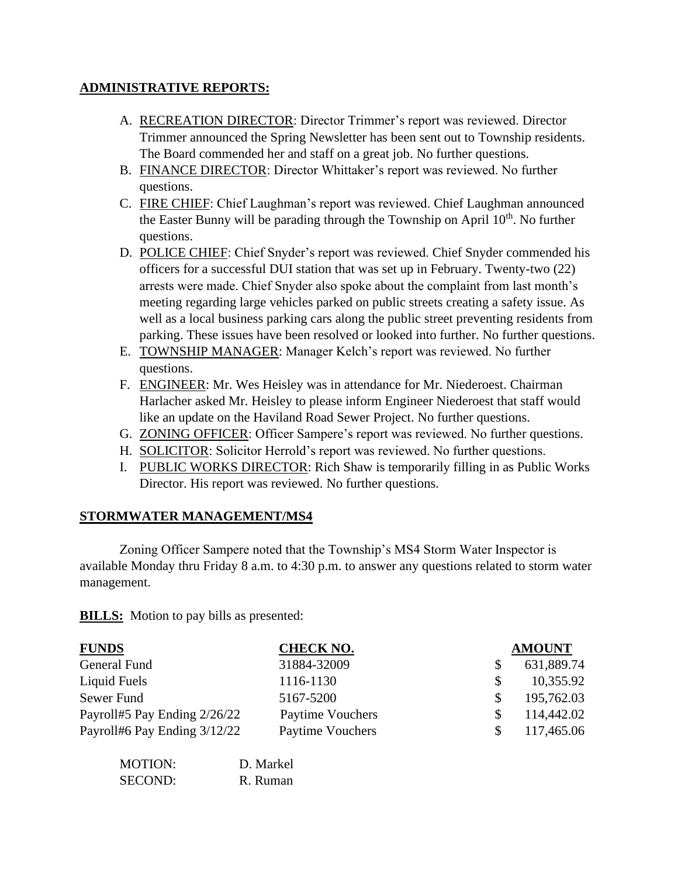# **ADMINISTRATIVE REPORTS:**

- A. RECREATION DIRECTOR: Director Trimmer's report was reviewed. Director Trimmer announced the Spring Newsletter has been sent out to Township residents. The Board commended her and staff on a great job. No further questions.
- B. FINANCE DIRECTOR: Director Whittaker's report was reviewed. No further questions.
- C. FIRE CHIEF: Chief Laughman's report was reviewed. Chief Laughman announced the Easter Bunny will be parading through the Township on April  $10<sup>th</sup>$ . No further questions.
- D. POLICE CHIEF: Chief Snyder's report was reviewed. Chief Snyder commended his officers for a successful DUI station that was set up in February. Twenty-two (22) arrests were made. Chief Snyder also spoke about the complaint from last month's meeting regarding large vehicles parked on public streets creating a safety issue. As well as a local business parking cars along the public street preventing residents from parking. These issues have been resolved or looked into further. No further questions.
- E. TOWNSHIP MANAGER: Manager Kelch's report was reviewed. No further questions.
- F. ENGINEER: Mr. Wes Heisley was in attendance for Mr. Niederoest. Chairman Harlacher asked Mr. Heisley to please inform Engineer Niederoest that staff would like an update on the Haviland Road Sewer Project. No further questions.
- G. ZONING OFFICER: Officer Sampere's report was reviewed. No further questions.
- H. SOLICITOR: Solicitor Herrold's report was reviewed. No further questions.
- I. PUBLIC WORKS DIRECTOR: Rich Shaw is temporarily filling in as Public Works Director. His report was reviewed. No further questions.

# **STORMWATER MANAGEMENT/MS4**

Zoning Officer Sampere noted that the Township's MS4 Storm Water Inspector is available Monday thru Friday 8 a.m. to 4:30 p.m. to answer any questions related to storm water management.

**BILLS:** Motion to pay bills as presented:

| <b>FUNDS</b>                 | <b>CHECK NO.</b>        |    | <b>AMOUNT</b> |
|------------------------------|-------------------------|----|---------------|
| General Fund                 | 31884-32009             |    | 631,889.74    |
| Liquid Fuels                 | 1116-1130               | S. | 10,355.92     |
| Sewer Fund                   | 5167-5200               | S. | 195,762.03    |
| Payroll#5 Pay Ending 2/26/22 | Paytime Vouchers        |    | 114,442.02    |
| Payroll#6 Pay Ending 3/12/22 | <b>Paytime Vouchers</b> |    | 117,465.06    |

| <b>MOTION:</b> | D. Markel |
|----------------|-----------|
| SECOND:        | R. Ruman  |